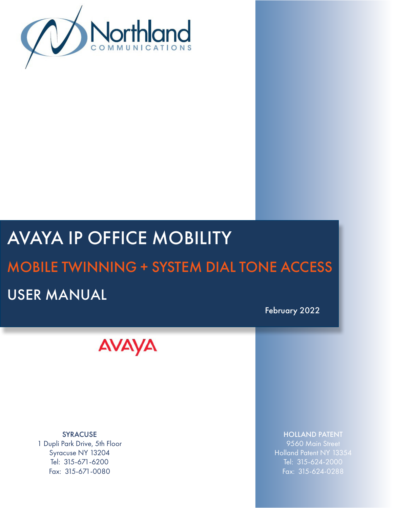

# AVAYA IP OFFICE MOBILITY

## MOBILE TWINNING + SYSTEM DIAL TONE ACCESS

## USER MANUAL

February 2022



SYRACUSE 1 Dupli Park Drive, 5th Floor Syracuse NY 13204 Tel: 315-671-6200 Fax: 315-671-0080

HOLLAND PATENT

9560 Main Street Holland Patent NY 13354 Tel: 315-624-2000 Fax: 315-624-0288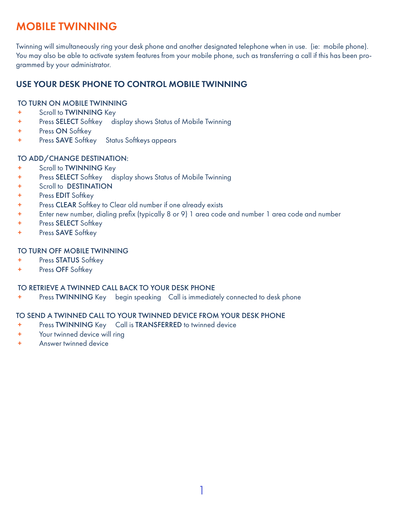## **MOBILE TWINNING**

Twinning will simultaneously ring your desk phone and another designated telephone when in use. (ie: mobile phone). You may also be able to activate system features from your mobile phone, such as transferring a call if this has been programmed by your administrator.

#### USE YOUR DESK PHONE TO CONTROL MOBILE TWINNING

#### TO TURN ON MOBILE TWINNING

- + Scroll to TWINNING Key
- + Press SELECT Softkey display shows Status of Mobile Twinning
- + Press ON Softkey
- + Press SAVE Softkey Status Softkeys appears

#### TO ADD/CHANGE DESTINATION:

- + Scroll to TWINNING Key
- + Press SELECT Softkey display shows Status of Mobile Twinning
- + Scroll to DESTINATION
- + Press EDIT Softkey
- + Press CLEAR Softkey to Clear old number if one already exists
- + Enter new number, dialing prefix (typically 8 or 9) 1 area code and number 1 area code and number
- + Press SELECT Softkey
- + Press SAVE Softkey

#### TO TURN OFF MOBILE TWINNING

- + Press STATUS Softkey
- + Press OFF Softkey

#### TO RETRIEVE A TWINNED CALL BACK TO YOUR DESK PHONE

+ Press TWINNING Key begin speaking Call is immediately connected to desk phone

#### TO SEND A TWINNED CALL TO YOUR TWINNED DEVICE FROM YOUR DESK PHONE

- + Press TWINNING Key Call is TRANSFERRED to twinned device
- + Your twinned device will ring
- + Answer twinned device